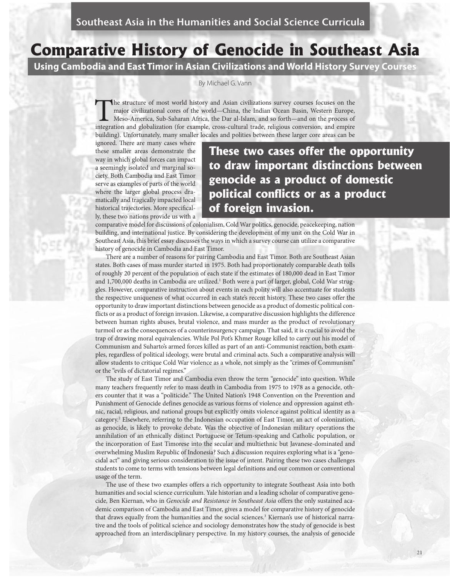# **Comparative History of Genocide in Southeast Asia**

Using Cambodia and East Timor in Asian Civilizations and World History Survey Courses

By Michael G. Vann

The structure of most world history and Asian civilizations survey courses focuses on the major civilizational cores of the world—China, the Indian Ocean Basin, Western Europe, Meso-America, Sub-Saharan Africa, the Dar al-Islam, and so forth—and on the process of integration and globalization (for example, cross-cultural trade, religious conversion, and empire building). Unfortunately, many smaller locales and polities between these larger core areas can be

ignored. There are many cases where these smaller areas demonstrate the way in which global forces can impact a seemingly isolated and marginal society. Both Cambodia and East Timor serve as examples of parts of the world where the larger global process dramatically and tragically impacted local historical trajectories. More specifically, these two nations provide us with a

### These two cases offer the opportunity to draw important distinctions between genocide as a product of domestic political conflicts or as a product of foreign invasion.

comparative model for discussions of colonialism, Cold War politics, genocide, peacekeeping, nation building, and international justice. By considering the development of my unit on the Cold War in Southeast Asia, this brief essay discusses the ways in which a survey course can utilize a comparative history of genocide in Cambodia and East Timor.

There are a number of reasons for pairing Cambodia and East Timor. Both are Southeast Asian states. Both cases of mass murder started in 1975. Both had proportionately comparable death tolls of roughly 20 percent of the population of each state if the estimates of 180,000 dead in East Timor and 1,700,000 deaths in Cambodia are utilized.<sup>1</sup> Both were a part of larger, global, Cold War struggles. However, comparative instruction about events in each polity will also accentuate for students the respective uniqueness of what occurred in each state's recent history. These two cases offer the opportunity to draw important distinctions between genocide as a product of domestic political conflicts or as a product of foreign invasion. Likewise, a comparative discussion highlights the difference between human rights abuses, brutal violence, and mass murder as the product of revolutionary turmoil or as the consequences of a counterinsurgency campaign. That said, it is crucial to avoid the trap of drawing moral equivalencies. While Pol Pot's Khmer Rouge killed to carry out his model of Communism and Suharto's armed forces killed as part of an anti-Communist reaction, both examples, regardless of political ideology, were brutal and criminal acts. Such a comparative analysis will allow students to critique Cold War violence as a whole, not simply as the "crimes of Communism" or the "evils of dictatorial regimes."

The study of East Timor and Cambodia even throw the term "genocide" into question. While many teachers frequently refer to mass death in Cambodia from 1975 to 1978 as a genocide, others counter that it was a "politicide." The United Nation's 1948 Convention on the Prevention and Punishment of Genocide defines genocide as various forms of violence and oppression against ethnic, racial, religious, and national groups but explicitly omits violence against political identity as a category.<sup>2</sup> Elsewhere, referring to the Indonesian occupation of East Timor, an act of colonization, as genocide, is likely to provoke debate. Was the objective of Indonesian military operations the annihilation of an ethnically distinct Portuguese or Tetum-speaking and Catholic population, or the incorporation of East Timorese into the secular and multiethnic but Javanese-dominated and overwhelming Muslim Republic of Indonesia? Such a discussion requires exploring what is a "genocidal act" and giving serious consideration to the issue of intent. Pairing these two cases challenges students to come to terms with tensions between legal definitions and our common or conventional usage of the term.

The use of these two examples offers a rich opportunity to integrate Southeast Asia into both humanities and social science curriculum. Yale historian and a leading scholar of comparative genocide, Ben Kiernan, who in Genocide and Resistance in Southeast Asia offers the only sustained academic comparison of Cambodia and East Timor, gives a model for comparative history of genocide that draws equally from the humanities and the social sciences.<sup>3</sup> Kiernan's use of historical narrative and the tools of political science and sociology demonstrates how the study of genocide is best approached from an interdisciplinary perspective. In my history courses, the analysis of genocide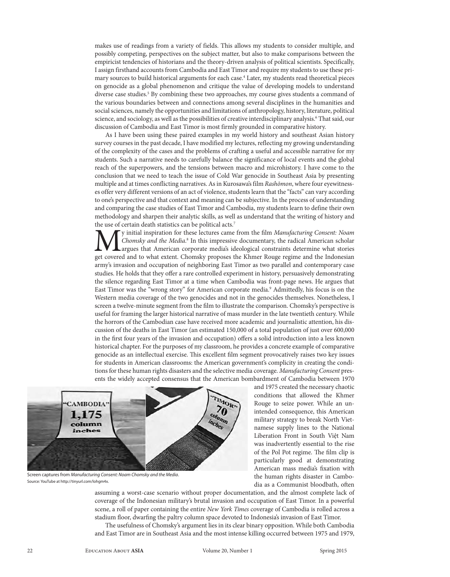makes use of readings from a variety of fields. This allows my students to consider multiple, and possibly competing, perspectives on the subject matter, but also to make comparisons between the empiricist tendencies of historians and the theory-driven analysis of political scientists. Specifically, I assign firsthand accounts from Cambodia and East Timor and require my students to use these primary sources to build historical arguments for each case.<sup>4</sup> Later, my students read theoretical pieces on genocide as a global phenomenon and critique the value of developing models to understand diverse case studies.<sup>5</sup> By combining these two approaches, my course gives students a command of the various boundaries between and connections among several disciplines in the humanities and social sciences, namely the opportunities and limitations of anthropology, history, literature, political science, and sociology, as well as the possibilities of creative interdisciplinary analysis.<sup>6</sup> That said, our discussion of Cambodia and East Timor is most firmly grounded in comparative history.

As I have been using these paired examples in my world history and southeast Asian history survey courses in the past decade, I have modified my lectures, reflecting my growing understanding of the complexity of the cases and the problems of crafting a useful and accessible narrative for my students. Such a narrative needs to carefully balance the significance of local events and the global reach of the superpowers, and the tensions between macro and microhistory. I have come to the conclusion that we need to teach the issue of Cold War genocide in Southeast Asia by presenting multiple and at times conflicting narratives. As in Kurosawa's film Rashōmon, where four eyewitnesses offer very different versions of an act of violence, students learn that the "facts" can vary according to one's perspective and that context and meaning can be subjective. In the process of understanding and comparing the case studies of East Timor and Cambodia, my students learn to define their own methodology and sharpen their analytic skills, as well as understand that the writing of history and the use of certain death statistics can be political acts.7

**M** y initial inspiration for these lectures came from the film *Manufacturing Consent: Noam* Chomsky and the Media.<sup>8</sup> In this impressive documentary, the radical American scholar argues that American corporate media's id Chomsky and the Media.<sup>8</sup> In this impressive documentary, the radical American scholar argues that American corporate media's ideological constraints determine what stories get covered and to what extent. Chomsky proposes the Khmer Rouge regime and the Indonesian army's invasion and occupation of neighboring East Timor as two parallel and contemporary case studies. He holds that they offer a rare controlled experiment in history, persuasively demonstrating the silence regarding East Timor at a time when Cambodia was front-page news. He argues that East Timor was the "wrong story" for American corporate media.9 Admittedly, his focus is on the Western media coverage of the two genocides and not in the genocides themselves. Nonetheless, I screen a twelve-minute segment from the flm to illustrate the comparison. Chomsky's perspective is useful for framing the larger historical narrative of mass murder in the late twentieth century. While the horrors of the Cambodian case have received more academic and journalistic attention, his discussion of the deaths in East Timor (an estimated 150,000 of a total population of just over 600,000 in the first four years of the invasion and occupation) offers a solid introduction into a less known historical chapter. For the purposes of my classroom, he provides a concrete example of comparative genocide as an intellectual exercise. This excellent film segment provocatively raises two key issues for students in American classrooms: the American government's complicity in creating the conditions for these human rights disasters and the selective media coverage. Manufacturing Consent presents the widely accepted consensus that the American bombardment of Cambodia between 1970



Screen captures from Manufacturing Consent: Noam Chomsky and the Media. Source: YouTube at http://tinyurl.com/lohgm4x.

and 1975 created the necessary chaotic conditions that allowed the Khmer Rouge to seize power. While an unintended consequence, this American military strategy to break North Vietnamese supply lines to the National Liberation Front in South Việt Nam was inadvertently essential to the rise of the Pol Pot regime. The film clip is particularly good at demonstrating American mass media's fxation with the human rights disaster in Cambodia as a Communist bloodbath, ofen

assuming a worst-case scenario without proper documentation, and the almost complete lack of coverage of the Indonesian military's brutal invasion and occupation of East Timor. In a powerful scene, a roll of paper containing the entire New York Times coverage of Cambodia is rolled across a stadium foor, dwarfng the paltry column space devoted to Indonesia's invasion of East Timor.

The usefulness of Chomsky's argument lies in its clear binary opposition. While both Cambodia and East Timor are in Southeast Asia and the most intense killing occurred between 1975 and 1979,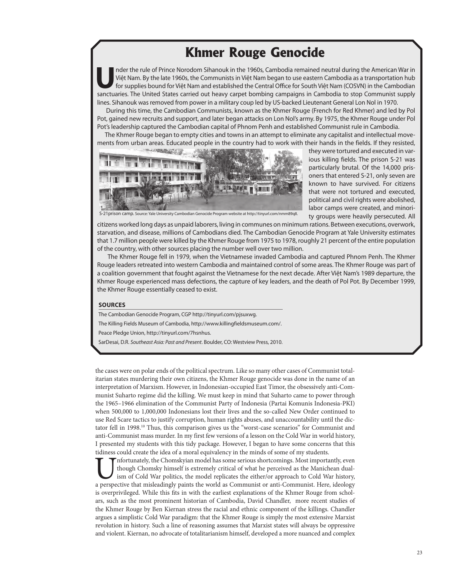## **Khmer Rouge Genocide**

nder the rule of Prince Norodom Sihanouk in the 1960s, Cambodia remained neutral during the American War in<br>Việt Nam. By the late 1960s, the Communists in Việt Nam began to use eastern Cambodia as a transportation hub<br>for Việt Nam. By the late 1960s, the Communists in Việt Nam began to use eastern Cambodia as a transportation hub sanctuaries. The United States carried out heavy carpet bombing campaigns in Cambodia to stop Communist supply lines. Sihanouk was removed from power in a military coup led by US-backed Lieutenant General Lon Nol in 1970.

 During this time, the Cambodian Communists, known as the Khmer Rouge (French for Red Khmer) and led by Pol Pot, gained new recruits and support, and later began attacks on Lon Nol's army. By 1975, the Khmer Rouge under Pol Pot's leadership captured the Cambodian capital of Phnom Penh and established Communist rule in Cambodia.

 The Khmer Rouge began to empty cities and towns in an attempt to eliminate any capitalist and intellectual movements from urban areas. Educated people in the country had to work with their hands in the fields. If they resisted,



they were tortured and executed in various killing fields. The prison S-21 was particularly brutal. Of the 14,000 prisoners that entered S-21, only seven are known to have survived. For citizens that were not tortured and executed, political and civil rights were abolished, labor camps were created, and minority groups were heavily persecuted. All

S-21prison camp. Source: Yale University Cambodian Genocide Program website at http://tinyurl.com/nmm89q8.

citizens worked long days as unpaid laborers, living in communes on minimum rations. Between executions, overwork, starvation, and disease, millions of Cambodians died. The Cambodian Genocide Program at Yale University estimates that 1.7 million people were killed by the Khmer Rouge from 1975 to 1978, roughly 21 percent of the entire population of the country, with other sources placing the number well over two million.

 The Khmer Rouge fell in 1979, when the Vietnamese invaded Cambodia and captured Phnom Penh. The Khmer Rouge leaders retreated into western Cambodia and maintained control of some areas. The Khmer Rouge was part of a coalition government that fought against the Vietnamese for the next decade. After Việt Nam's 1989 departure, the Khmer Rouge experienced mass defections, the capture of key leaders, and the death of Pol Pot. By December 1999, the Khmer Rouge essentially ceased to exist.

#### **SOURCES**

The Cambodian Genocide Program, CGP http://tinyurl.com/pjsuxwg.

The Killing Fields Museum of Cambodia, http://www.killingfieldsmuseum.com/.

Peace Pledge Union, http://tinyurl.com/7hsnhus.

SarDesai, D.R. Southeast Asia: Past and Present. Boulder, CO: Westview Press, 2010.

the cases were on polar ends of the political spectrum. Like so many other cases of Communist totalitarian states murdering their own citizens, the Khmer Rouge genocide was done in the name of an interpretation of Marxism. However, in Indonesian-occupied East Timor, the obsessively anti-Communist Suharto regime did the killing. We must keep in mind that Suharto came to power through the 1965–1966 elimination of the Communist Party of Indonesia (Partai Komunis Indonesia-PKI) when 500,000 to 1,000,000 Indonesians lost their lives and the so-called New Order continued to use Red Scare tactics to justify corruption, human rights abuses, and unaccountability until the dictator fell in 1998.<sup>10</sup> Thus, this comparison gives us the "worst-case scenarios" for Communist and anti-Communist mass murder. In my first few versions of a lesson on the Cold War in world history, I presented my students with this tidy package. However, I began to have some concerns that this tidiness could create the idea of a moral equivalency in the minds of some of my students.

Infortunately, the Chomskyian model has some serious shortcomings. Most importantly, even though Chomsky himself is extremely critical of what he perceived as the Manichean dualism of Cold War politics, the model replicate though Chomsky himself is extremely critical of what he perceived as the Manichean dualism of Cold War politics, the model replicates the either/or approach to Cold War history, is overprivileged. While this fts in with the earliest explanations of the Khmer Rouge from scholars, such as the most prominent historian of Cambodia, David Chandler, more recent studies of the Khmer Rouge by Ben Kiernan stress the racial and ethnic component of the killings. Chandler argues a simplistic Cold War paradigm: that the Khmer Rouge is simply the most extensive Marxist revolution in history. Such a line of reasoning assumes that Marxist states will always be oppressive and violent. Kiernan, no advocate of totalitarianism himself, developed a more nuanced and complex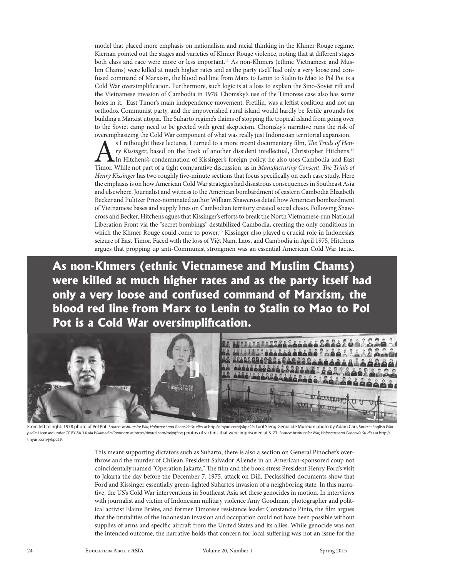model that placed more emphasis on nationalism and racial thinking in the Khmer Rouge regime. Kiernan pointed out the stages and varieties of Khmer Rouge violence, noting that at diferent stages both class and race were more or less important.<sup>11</sup> As non-Khmers (ethnic Vietnamese and Muslim Chams) were killed at much higher rates and as the party itself had only a very loose and confused command of Marxism, the blood red line from Marx to Lenin to Stalin to Mao to Pol Pot is a Cold War oversimplifcation. Furthermore, such logic is at a loss to explain the Sino-Soviet rif and the Vietnamese invasion of Cambodia in 1978. Chomsky's use of the Timorese case also has some holes in it. East Timor's main independence movement, Fretilin, was a lefist coalition and not an orthodox Communist party, and the impoverished rural island would hardly be fertile grounds for building a Marxist utopia. The Suharto regime's claims of stopping the tropical island from going over to the Soviet camp need to be greeted with great skepticism. Chomsky's narrative runs the risk of overemphasizing the Cold War component of what was really just Indonesian territorial expansion.

S I rethought these lectures, I turned to a more recent documentary film, *The Trials of Hen-*<br>*ry Kissinger*, based on the book of another dissident intellectual, Christopher Hitchens.<sup>12</sup><br>In Hitchens's condemnation of Ki ry Kissinger, based on the book of another dissident intellectual, Christopher Hitchens.<sup>12</sup> In Hitchens's condemnation of Kissinger's foreign policy, he also uses Cambodia and East Timor. While not part of a tight comparative discussion, as in Manufacturing Consent, The Trials of Henry Kissinger has two roughly five-minute sections that focus specifically on each case study. Here the emphasis is on how American Cold War strategies had disastrous consequences in Southeast Asia and elsewhere. Journalist and witness to the American bombardment of eastern Cambodia Elizabeth Becker and Pulitzer Prize-nominated author William Shawcross detail how American bombardment of Vietnamese bases and supply lines on Cambodian territory created social chaos. Following Shawcross and Becker, Hitchens agues that Kissinger's eforts to break the North Vietnamese-run National Liberation Front via the "secret bombings" destabilized Cambodia, creating the only conditions in which the Khmer Rouge could come to power.<sup>13</sup> Kissinger also played a crucial role in Indonesia's seizure of East Timor. Faced with the loss of Việt Nam, Laos, and Cambodia in April 1975, Hitchens argues that propping up anti-Communist strongmen was an essential American Cold War tactic.

**As non-Khmers (ethnic Vietnamese and Muslim Chams) were killed at much higher rates and as the party itself had only a very loose and confused command of Marxism, the blood red line from Marx to Lenin to Stalin to Mao to Pol**  Pot is a Cold War oversimplification.



From left to right: 1978 photo of Pol Pot. Source: Institute for War, Holocaust and Genocide Studies at http://tinyurl.com/jvkpc29; Tuol Sleng Genocide Museum photo by Adam Carr, Source: English Wikipedia. Licensed under CC BY-SA 3.0 via Wikimedia Commons at http://tinyurl.com/m6yg5tv; photos of victims that were imprisoned at S-21. Source: Institute for War, Holocaust and Genocide Studies at http:// tinyurl.com/jvkpc29.

This meant supporting dictators such as Suharto; there is also a section on General Pinochet's overthrow and the murder of Chilean President Salvador Allende in an American-sponsored coup not coincidentally named "Operation Jakarta." The film and the book stress President Henry Ford's visit to Jakarta the day before the December 7, 1975, attack on Dili. Declassifed documents show that Ford and Kissinger essentially green-lighted Suharto's invasion of a neighboring state. In this narrative, the US's Cold War interventions in Southeast Asia set these genocides in motion. In interviews with journalist and victim of Indonesian military violence Amy Goodman, photographer and political activist Elaine Brière, and former Timorese resistance leader Constancio Pinto, the flm argues that the brutalities of the Indonesian invasion and occupation could not have been possible without supplies of arms and specific aircraft from the United States and its allies. While genocide was not the intended outcome, the narrative holds that concern for local sufering was not an issue for the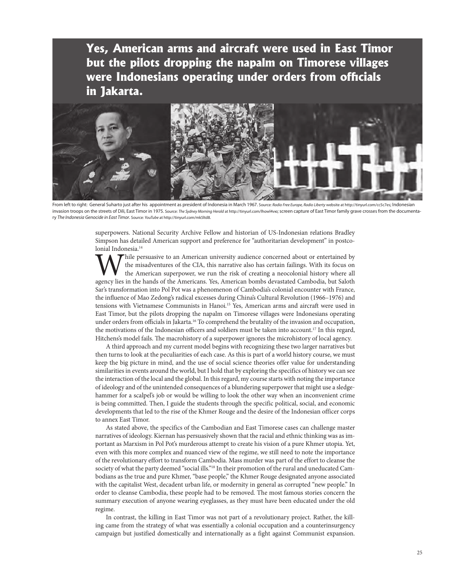**Yes, American arms and aircraft were used in East Timor but the pilots dropping the napalm on Timorese villages**  were Indonesians operating under orders from officials **in Jakarta.**



From left to right: General Suharto just after his appointment as president of Indonesia in March 1967. Source: Radio Free Europe, Radio Liberty website at http://tinyurl.com/cc5c7es; Indonesian invasion troops on the streets of Dili, East Timor in 1975. Source: The Sydney Morning Herald at http://tinyurl.com/lhowl4vio; screen capture of East Timor family grave crosses from the documentary The Indonesia Genocide in East Timor. Source: YouTube at http://tinyurl.com/mk5ltd8.

superpowers. National Security Archive Fellow and historian of US-Indonesian relations Bradley Simpson has detailed American support and preference for "authoritarian development" in postcolonial Indonesia.<sup>14</sup>

While persuasive to an American university audience concerned about or entertained by the misadventures of the CIA, this narrative also has certain failings. With its focus on the American superpower, we run the risk of cr the misadventures of the CIA, this narrative also has certain failings. With its focus on the American superpower, we run the risk of creating a neocolonial history where all Sar's transformation into Pol Pot was a phenomenon of Cambodia's colonial encounter with France, the infuence of Mao Zedong's radical excesses during China's Cultural Revolution (1966–1976) and tensions with Vietnamese Communists in Hanoi.<sup>15</sup> Yes, American arms and aircraft were used in East Timor, but the pilots dropping the napalm on Timorese villages were Indonesians operating under orders from officials in Jakarta.<sup>16</sup> To comprehend the brutality of the invasion and occupation, the motivations of the Indonesian officers and soldiers must be taken into account.<sup>17</sup> In this regard, Hitchens's model fails. The macrohistory of a superpower ignores the microhistory of local agency.

A third approach and my current model begins with recognizing these two larger narratives but then turns to look at the peculiarities of each case. As this is part of a world history course, we must keep the big picture in mind, and the use of social science theories offer value for understanding similarities in events around the world, but I hold that by exploring the specifics of history we can see the interaction of the local and the global. In this regard, my course starts with noting the importance of ideology and of the unintended consequences of a blundering superpower that might use a sledgehammer for a scalpel's job or would be willing to look the other way when an inconvenient crime is being committed. Then, I guide the students through the specific political, social, and economic developments that led to the rise of the Khmer Rouge and the desire of the Indonesian officer corps to annex East Timor.

As stated above, the specifics of the Cambodian and East Timorese cases can challenge master narratives of ideology. Kiernan has persuasively shown that the racial and ethnic thinking was as important as Marxism in Pol Pot's murderous attempt to create his vision of a pure Khmer utopia. Yet, even with this more complex and nuanced view of the regime, we still need to note the importance of the revolutionary effort to transform Cambodia. Mass murder was part of the effort to cleanse the society of what the party deemed "social ills."<sup>18</sup> In their promotion of the rural and uneducated Cambodians as the true and pure Khmer, "base people," the Khmer Rouge designated anyone associated with the capitalist West, decadent urban life, or modernity in general as corrupted "new people." In order to cleanse Cambodia, these people had to be removed. The most famous stories concern the summary execution of anyone wearing eyeglasses, as they must have been educated under the old regime.

In contrast, the killing in East Timor was not part of a revolutionary project. Rather, the killing came from the strategy of what was essentially a colonial occupation and a counterinsurgency campaign but justified domestically and internationally as a fight against Communist expansion.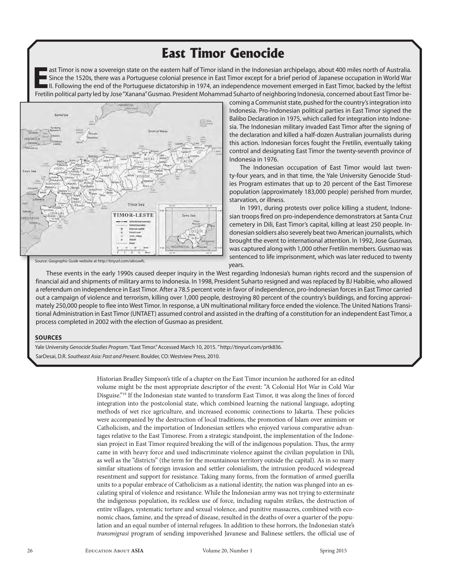## **East Timor Genocide**

ast Timor is now a sovereign state on the eastern half of Timor island in the Indonesian archipelago, about 400 miles north of Australia. Since the 1520s, there was a Portuguese colonial presence in East Timor except for a brief period of Japanese occupation in World War III. Following the end of the Portuguese dictatorship in 1974, an independence movement emerged in East Timor, backed by the leftist Fretilin political party led by Jose "Xanana" Gusmao. President Mohammad Suharto of neighboring Indonesia, concerned about East Timor be-



coming a Communist state, pushed for the country's integration into Indonesia. Pro-Indonesian political parties in East Timor signed the Balibo Declaration in 1975, which called for integration into Indonesia. The Indonesian military invaded East Timor after the signing of the declaration and killed a half-dozen Australian journalists during this action. Indonesian forces fought the Fretilin, eventually taking control and designating East Timor the twenty-seventh province of Indonesia in 1976.

The Indonesian occupation of East Timor would last twenty-four years, and in that time, the Yale University Genocide Studies Program estimates that up to 20 percent of the East Timorese population (approximately 183,000 people) perished from murder, starvation, or illness.

In 1991, during protests over police killing a student, Indonesian troops fired on pro-independence demonstrators at Santa Cruz cemetery in Dili, East Timor's capital, killing at least 250 people. Indonesian soldiers also severely beat two American journalists, which brought the event to international attention. In 1992, Jose Gusmao, was captured along with 1,000 other Fretilin members. Gusmao was sentenced to life imprisonment, which was later reduced to twenty years.

These events in the early 1990s caused deeper inquiry in the West regarding Indonesia's human rights record and the suspension of financial aid and shipments of military arms to Indonesia. In 1998, President Suharto resigned and was replaced by BJ Habibie, who allowed a referendum on independence in East Timor. After a 78.5 percent vote in favor of independence, pro-Indonesian forces in East Timor carried out a campaign of violence and terrorism, killing over 1,000 people, destroying 80 percent of the country's buildings, and forcing approximately 250,000 people to flee into West Timor. In response, a UN multinational military force ended the violence. The United Nations Transitional Administration in East Timor (UNTAET) assumed control and assisted in the drafting of a constitution for an independent East Timor, a process completed in 2002 with the election of Gusmao as president.

### **SOURCES**

Yale University Genocide Studies Program. "East Timor." Accessed March 10, 2015. "http://tinyurl.com/prtk836. SarDesai, D.R. Southeast Asia: Past and Present. Boulder, CO: Westview Press, 2010.

> Historian Bradley Simpson's title of a chapter on the East Timor incursion he authored for an edited volume might be the most appropriate descriptor of the event: "A Colonial Hot War in Cold War Disguise."<sup>19</sup> If the Indonesian state wanted to transform East Timor, it was along the lines of forced integration into the postcolonial state, which combined learning the national language, adopting methods of wet rice agriculture, and increased economic connections to Jakarta. These policies were accompanied by the destruction of local traditions, the promotion of Islam over animism or Catholicism, and the importation of Indonesian settlers who enjoyed various comparative advantages relative to the East Timorese. From a strategic standpoint, the implementation of the Indonesian project in East Timor required breaking the will of the indigenous population. Thus, the army came in with heavy force and used indiscriminate violence against the civilian population in Dili, as well as the "districts" (the term for the mountainous territory outside the capital). As in so many similar situations of foreign invasion and settler colonialism, the intrusion produced widespread resentment and support for resistance. Taking many forms, from the formation of armed guerilla units to a popular embrace of Catholicism as a national identity, the nation was plunged into an escalating spiral of violence and resistance. While the Indonesian army was not trying to exterminate the indigenous population, its reckless use of force, including napalm strikes, the destruction of entire villages, systematic torture and sexual violence, and punitive massacres, combined with economic chaos, famine, and the spread of disease, resulted in the deaths of over a quarter of the population and an equal number of internal refugees. In addition to these horrors, the Indonesian state's transmigrasi program of sending impoverished Javanese and Balinese settlers, the official use of